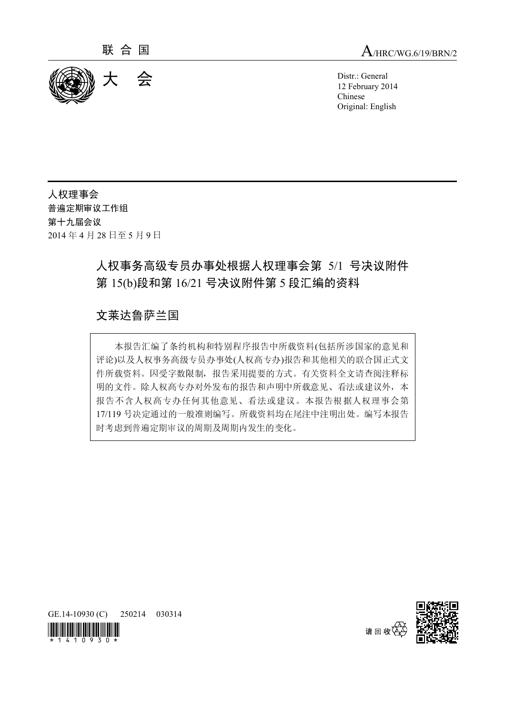

12 February 2014 Chinese Original: English

人权理事会 普遍定期审议工作组<br>第十九届会议 第十九届会议 2014 年 4 月 28 日至 5 月 9 日

# 人权事务高级专员办事处根据人权理事会第 5/1 号决议附件 第 15(b)段和第 16/21 号决议附件第 5 段汇编的资料

## 文莱达鲁萨兰国

本报告汇编了条约机构和特别程序报告中所载资料(包括所涉国家的意见和 评论)以及人权事务高级专员办事处(人权高专办)报告和其他相关的联合国正式文 件所载资料。因受字数限制,报告采用提要的方式。有关资料全文请查阅注释标 明的文件。除人权高专办对外发布的报告和声明中所载意见、看法或建议外,本 报告不含人权高专办任何其他意见、看法或建议。本报告根据人权理事会第 17/119 号决定通过的一般准则编写。所载资料均在尾注中注明出处。编写本报告 时考虑到普遍定期审议的周期及周期内发生的变化。



GE.14-10930 (C) 250214 030314



请 回 收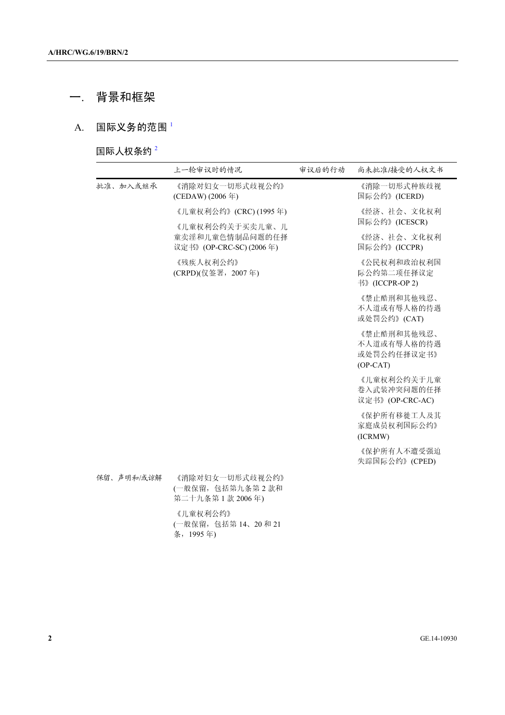# 一. 背景和框架

### A. 国际义务的范围<sup>1</sup>

国际人权条约 <sup>2</sup>

|            | 上一轮审议时的情况                                                    | 审议后的行动 | 尚未批准/接受的人权文书                                            |
|------------|--------------------------------------------------------------|--------|---------------------------------------------------------|
| 批准、加入或继承   | 《消除对妇女一切形式歧视公约》<br>(CEDAW) (2006年)                           |        | 《消除一切形式种族歧视<br>国际公约》(ICERD)                             |
|            | 《儿童权利公约》(CRC)(1995年)                                         |        | 《经济、社会、文化权利<br>国际公约》(ICESCR)                            |
|            | 《儿童权利公约关于买卖儿童、儿<br>童卖淫和儿童色情制品问题的任择<br>议定书》(OP-CRC-SC)(2006年) |        | 《经济、社会、文化权利<br>国际公约》(ICCPR)                             |
|            | 《残疾人权利公约》<br>(CRPD)(仅签署, 2007年)                              |        | 《公民权利和政治权利国<br>际公约第二项任择议定<br>书》(ICCPR-OP 2)             |
|            |                                                              |        | 《禁止酷刑和其他残忍、<br>不人道或有辱人格的待遇<br>或处罚公约》(CAT)               |
|            |                                                              |        | 《禁止酷刑和其他残忍、<br>不人道或有辱人格的待遇<br>或处罚公约任择议定书》<br>$(OP-CAT)$ |
|            |                                                              |        | 《儿童权利公约关于儿童<br>卷入武装冲突问题的任择<br>议定书》(OP-CRC-AC)           |
|            |                                                              |        | 《保护所有移徙工人及其<br>家庭成员权利国际公约》<br>(ICRMW)                   |
|            |                                                              |        | 《保护所有人不遭受强迫<br>失踪国际公约》(CPED)                            |
| 保留、声明和/或谅解 | 《消除对妇女一切形式歧视公约》<br>(一般保留,包括第九条第2款和<br>第二十九条第1款 2006年)        |        |                                                         |
|            | 《儿童权利公约》<br>(一般保留,包括第14、20和21<br>条, 1995年)                   |        |                                                         |
|            |                                                              |        |                                                         |
|            |                                                              |        |                                                         |
|            |                                                              |        |                                                         |
|            |                                                              |        | GE.14-10930                                             |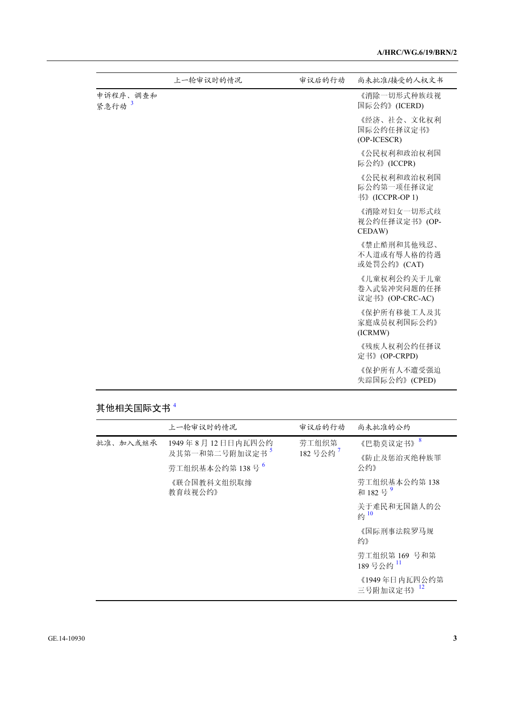|                   | 上一轮审议时的情况 | 审议后的行动 | 尚未批准/接受的人权文书                                  |
|-------------------|-----------|--------|-----------------------------------------------|
| 申诉程序、调查和<br>紧急行动3 |           |        | 《消除一切形式种族歧视<br>国际公约》(ICERD)                   |
|                   |           |        | 《经济、社会、文化权利<br>国际公约任择议定书》<br>(OP-ICESCR)      |
|                   |           |        | 《公民权利和政治权利国<br>际公约》(ICCPR)                    |
|                   |           |        | 《公民权利和政治权利国<br>际公约第一项任择议定<br>书》(ICCPR-OP 1)   |
|                   |           |        | 《消除对妇女一切形式歧<br>视公约任择议定书》(OP-<br>CEDAW)        |
|                   |           |        | 《禁止酷刑和其他残忍、<br>不人道或有辱人格的待遇<br>或处罚公约》(CAT)     |
|                   |           |        | 《儿童权利公约关于儿童<br>卷入武装冲突问题的任择<br>议定书》(OP-CRC-AC) |
|                   |           |        | 《保护所有移徙工人及其<br>家庭成员权利国际公约》<br>(ICRMW)         |
|                   |           |        | 《残疾人权利公约任择议<br>定书》(OP-CRPD)                   |
|                   |           |        | 《保护所有人不遭受强迫<br>失踪国际公约》(CPED)                  |
|                   |           |        |                                               |

# 其他相关国际文书<sup>4</sup>

|          | 上一轮审议时的情况                  | 审议后的行动                       | 尚未批准的公约                                     |
|----------|----------------------------|------------------------------|---------------------------------------------|
| 批准、加入或继承 | 1949年8月12日日内瓦四公约           | 劳工组织第<br>182号公约 <sup>7</sup> | 《巴勒莫议定书》 <sup>8</sup>                       |
|          | 及其第一和第二号附加议定书 <sup>5</sup> |                              | 《防止及惩治灭绝种族罪                                 |
|          | 劳工组织基本公约第138号 <sup>6</sup> |                              | 公约》                                         |
|          | 《联合国教科文组织取缔<br>教育歧视公约》     |                              | 劳工组织基本公约第 138<br>和182号 <sup>9</sup>         |
|          |                            |                              | 关于难民和无国籍人的公<br>$\frac{1}{2}$ $\frac{10}{2}$ |
|          |                            |                              | 《国际刑事法院罗马规<br>约》                            |
|          |                            |                              | 劳工组织第169 号和第<br>189号公约 <sup>11</sup>        |
|          |                            |                              | 《1949年日内瓦四公约第<br>三号附加议定书》 <sup>12</sup>     |
|          |                            |                              |                                             |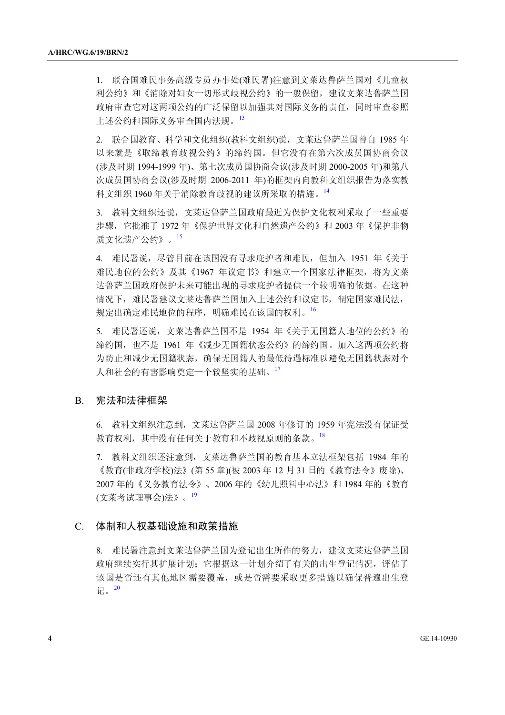1. 联合国难民事务高级专员办事处(难民署)注意到文莱达鲁萨兰国对《儿童权 利公约》和《消除对妇女一切形式歧视公约》的一般保留,建议文莱达鲁萨兰国 政府审查它对这两项公约的广泛保留以加强其对国际义务的责任,同时审查参照 上述公约和国际义务审查国内法规。<sup>13</sup>

2. 联合国教育、科学和文化组织(教科文组织)说,文莱达鲁萨兰国曾自 1985 年 以来就是《取缔教育歧视公约》的缔约国。但它没有在第六次成员国协商会议 (涉及时期 1994-1999 年)、第七次成员国协商会议(涉及时期 2000-2005 年)和第八 次成员国协商会议(涉及时期 2006-2011 年)的框架内向教科文组织报告为落实教 科文组织 1960 年关于消除教育歧视的建议所采取的措施。<sup>14</sup>

3. 教科文组织还说,文莱达鲁萨兰国政府最近为保护文化权利采取了一些重要 步骤,它批准了 1972 年《保护世界文化和自然遗产公约》和 2003 年《保护非物 质文化遗产公约》。<sup>15</sup>

4. 难民署说,尽管目前在该国没有寻求庇护者和难民,但加入 1951 年《关于 难民地位的公约》及其《1967 年议定书》和建立一个国家法律框架,将为文莱 达鲁萨兰国政府保护未来可能出现的寻求庇护者提供一个较明确的依据。在这种 情况下,难民署建议文莱达鲁萨兰国加入上述公约和议定书,制定国家难民法, 规定出确定难民地位的程序,明确难民在该国的权利。16

5. 难民署还说,文莱达鲁萨兰国不是 1954 年《关于无国籍人地位的公约》的 缔约国,也不是 1961 年《减少无国籍状态公约》的缔约国。加入这两项公约将 为防止和减少无国籍状态,确保无国籍人的最低待遇标准以避免无国籍状态对个 人和社会的有害影响奠定一个较坚实的基础。<sup>17</sup>

#### B. 宪法和法律框架

6. 教科文组织注意到,文莱达鲁萨兰国 2008 年修订的 1959 年宪法没有保证受 教育权利,其中没有任何关于教育和不歧视原则的条款。<sup>18</sup>

7. 教科文组织还注意到,文莱达鲁萨兰国的教育基本立法框架包括 1984 年的 《教育(非政府学校)法》(第55章)(被 2003年 12月31日的《教育法令》废除)、 2007 年的《义务教育法令》、2006 年的《幼儿照料中心法》和 1984 年的《教育 (文莱考试理事会)法》。<sup>19</sup>

### C. 体制和人权基础设施和政策措施

8. 难民署注意到文莱达鲁萨兰国为登记出生所作的努力,建议文莱达鲁萨兰国 政府继续实行其扩展计划;它根据这一计划介绍了有关的出生登记情况,评估了 该国是否还有其他地区需要覆盖,或是否需要采取更多措施以确保普遍出生登 记。20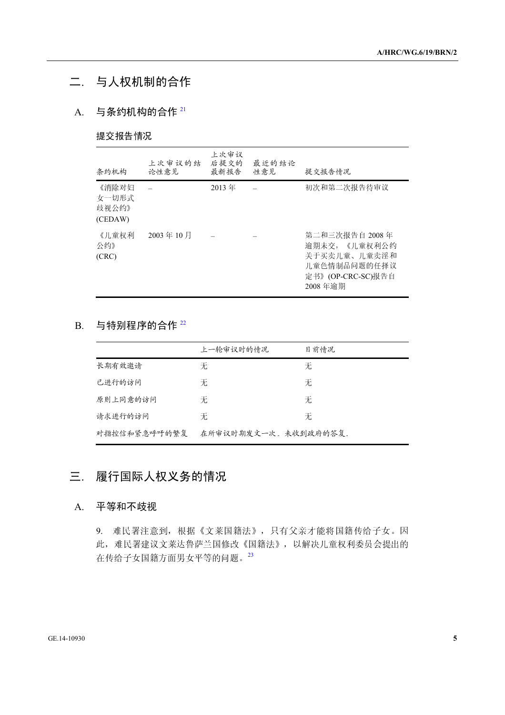## 二. 与人权机制的合作

## A. 与条约机构的合作 21

### 提交报告情况

| 条约机构                               | 上次审议的结<br>论性意见 | 上次审议<br>后提交的<br>最新报告 | 最近的结论<br>性意见 | 提交报告情况                                                                                          |
|------------------------------------|----------------|----------------------|--------------|-------------------------------------------------------------------------------------------------|
| 《消除对妇<br>女一切形式<br>歧视公约》<br>(CEDAW) |                | 2013年                |              | 初次和第二次报告待审议                                                                                     |
| 《儿童权利<br>公约》<br>(CRC)              | 2003年10月       |                      |              | 第二和三次报告自 2008 年<br>逾期未交,《儿童权利公约<br>关于买卖儿童、儿童卖淫和<br>儿童色情制品问题的任择议<br>定书》(OP-CRC-SC)报告自<br>2008年逾期 |

### $B.$  与特别程序的合作  $^{22}$

|                         | 上一轮审议时的情况            | 目前情况                                                                    |  |  |
|-------------------------|----------------------|-------------------------------------------------------------------------|--|--|
| 长期有效邀请                  | 无                    | 无                                                                       |  |  |
| 已进行的访问                  | 无                    | 无                                                                       |  |  |
| 原则上同意的访问                | 无                    | 无                                                                       |  |  |
| 请求进行的访问                 | 无                    | 无                                                                       |  |  |
| 对指控信和紧急呼吁的繁复            | 在所审议时期发文一次。未收到政府的答复。 |                                                                         |  |  |
| 履行国际人权义务的情况             |                      |                                                                         |  |  |
| 平等和不歧视                  |                      |                                                                         |  |  |
|                         |                      |                                                                         |  |  |
| 9.<br>在传给子女国籍方面男女平等的问题。 | 23                   | 难民署注意到,根据《文莱国籍法》,只有父亲才能将国籍传给子女。因<br>此,难民署建议文莱达鲁萨兰国修改《国籍法》,以解决儿童权利委员会提出的 |  |  |

## 三. 履行国际人权义务的情况

### A. 平等和不歧视

请求进行的访问 无<br>对指控信和紧急呼吁的繁复 在所审议时期发文一次。未收到必<br><br>**不等和不歧视<br>平等和不歧视**<br>9. 难民署注意到,根据《文莱国籍法》,只有父亲?<br>此,难民署注意到,根据《文莱国籍法》,以解:<br>此,难民署建议文莱达鲁萨兰国修改《国籍法》,以解:<br>在传给子女国籍方面男女平等的问题。<sup>23</sup> 对指控信和紧急呼吁的繁复 在所审议时期发文一次。未收到政府的答复。 9. 难民署注意到,根据《文莱国籍法》,只有父亲才能将国籍传给子女。因 此,难民署建议文莱达鲁萨兰国修改《国籍法》,以解决儿童权利委员会提出的 在传给子女国籍方面男女平等的问题。<sup>23</sup>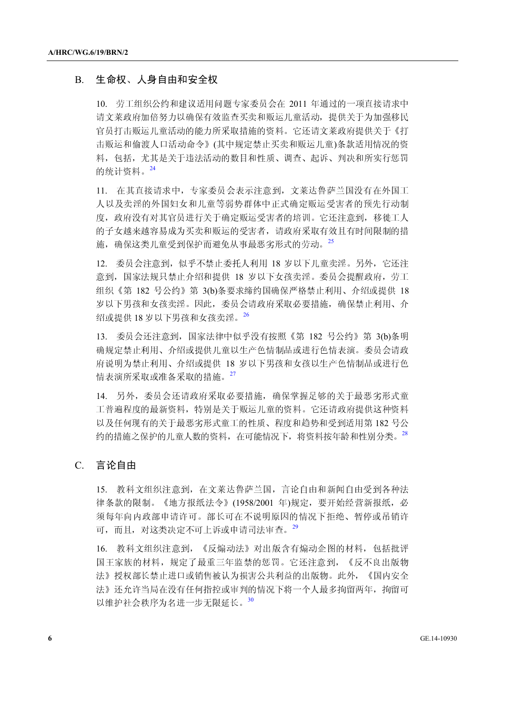### B. 生命权、人身自由和安全权

10. 劳工组织公约和建议适用问题专家委员会在 2011 年通过的一项直接请求中 请文莱政府加倍努力以确保有效监查买卖和贩运儿童活动,提供关于为加强移民 官员打击贩运儿童活动的能力所采取措施的资料。它还请文莱政府提供关于《打 击贩运和偷渡人口活动命令》(其中规定禁止买卖和贩运儿童)条款适用情况的资 料,包括,尤其是关于违法活动的数目和性质、调查、起诉、判决和所实行惩罚 的统计资料。<sup>24</sup>

11. 在其直接请求中,专家委员会表示注意到,文莱达鲁萨兰国没有在外国工 人以及卖淫的外国妇女和儿童等弱势群体中正式确定贩运受害者的预先行动制 度,政府没有对其官员进行关于确定贩运受害者的培训。它还注意到,移徙工人 的子女越来越容易成为买卖和贩运的受害者,请政府采取有效且有时间限制的措 施,确保这类儿童受到保护而避免从事最恶劣形式的劳动。<sup>25</sup>

12. 委员会注意到,似乎不禁止委托人利用 18 岁以下儿童卖淫。另外,它还注 意到,国家法规只禁止介绍和提供 18 岁以下女孩卖淫。委员会提醒政府,劳工 组织《第 182 号公约》第 3(b)条要求缔约国确保严格禁止利用、介绍或提供 18 岁以下男孩和女孩卖淫。因此,委员会请政府采取必要措施,确保禁止利用、介 绍或提供 18 岁以下男孩和女孩卖淫。<sup>26</sup>

13. 委员会还注意到,国家法律中似乎没有按照《第 182 号公约》第 3(b)条明 确规定禁止利用、介绍或提供儿童以生产色情制品或进行色情表演。委员会请政 府说明为禁止利用、介绍或提供 18 岁以下男孩和女孩以生产色情制品或进行色 情表演所采取或准备采取的措施。<sup>27</sup>

14. 另外,委员会还请政府采取必要措施,确保掌握足够的关于最恶劣形式童 工普遍程度的最新资料,特别是关于贩运儿童的资料。它还请政府提供这种资料 以及任何现有的关于最恶劣形式童工的性质、程度和趋势和受到适用第 182 号公 约的措施之保护的儿童人数的资料,在可能情况下,将资料按年龄和性别分类。<sup>28</sup>

#### C. 言论自由

15. 教科文组织注意到,在文莱达鲁萨兰国,言论自由和新闻自由受到各种法 律条款的限制。《地方报纸法令》(1958/2001 年)规定,要开始经营新报纸,必 须每年向内政部申请许可。部长可在不说明原因的情况下拒绝、暂停或吊销许 可,而且,对这类决定不可上诉或申请司法审查。<sup>29</sup>

16. 教科文组织注意到,《反煽动法》对出版含有煽动企图的材料,包括批评 国王家族的材料,规定了最重三年监禁的惩罚。它还注意到,《反不良出版物 法》授权部长禁止进口或销售被认为损害公共利益的出版物。此外,《国内安全 法》还允许当局在没有任何指控或审判的情况下将一个人最多拘留两年,拘留可 以维护社会秩序为名进一步无限延长。<sup>30</sup>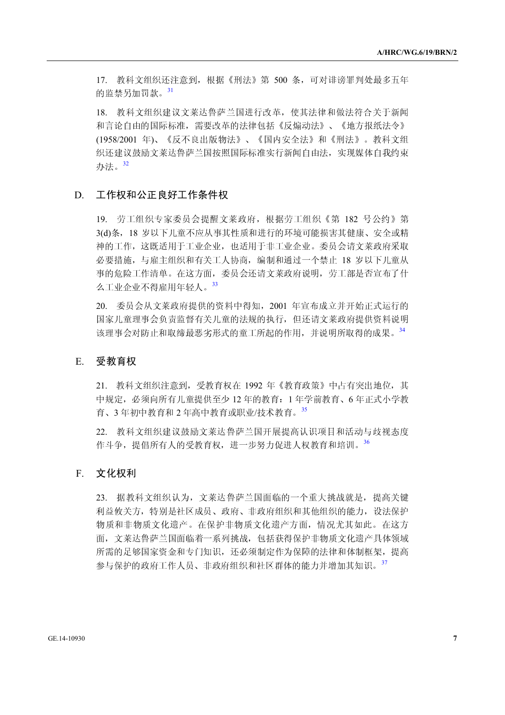17. 教科文组织还注意到,根据《刑法》第 500 条,可对诽谤罪判处最多五年 的监禁另加罚款。<sup>31</sup>

18. 教科文组织建议文莱达鲁萨兰国进行改革,使其法律和做法符合关于新闻 和言论自由的国际标准,需要改革的法律包括《反煽动法》、《地方报纸法令》 (1958/2001 年)、《反不良出版物法》、《国内安全法》和《刑法》。教科文组 织还建议鼓励文莱达鲁萨兰国按照国际标准实行新闻自由法, 实现媒体自我约束 办法。<sup>32</sup>

### D. 工作权和公正良好工作条件权

19. 劳工组织专家委员会提醒文莱政府,根据劳工组织《第 182 号公约》第 3(d)条,18 岁以下儿童不应从事其性质和进行的环境可能损害其健康、安全或精 神的工作,这既适用于工业企业,也适用于非工业企业。委员会请文莱政府采取 必要措施,与雇主组织和有关工人协商,编制和通过一个禁止 18 岁以下儿童从 事的危险工作清单。在这方面,委员会还请文莱政府说明,劳工部是否宣布了什 么工业企业不得雇用年轻人。<sup>33</sup>

20. 委员会从文莱政府提供的资料中得知,2001 年宣布成立并开始正式运行的 国家儿童理事会负责监督有关儿童的法规的执行,但还请文莱政府提供资料说明 该理事会对防止和取缔最恶劣形式的童工所起的作用,并说明所取得的成果。<sup>34</sup>

### E. 受教育权

21. 教科文组织注意到,受教育权在 1992 年《教育政策》中占有突出地位,其 中规定,必须向所有儿童提供至少 12 年的教育:1 年学前教育、6 年正式小学教 育、3 年初中教育和 2 年高中教育或职业/技术教育。<sup>35</sup>

22. 教科文组织建议鼓励文莱达鲁萨兰国开展提高认识项目和活动与歧视态度 作斗争,提倡所有人的受教育权,进一步努力促进人权教育和培训。36

#### F. 文化权利

23. 据教科文组织认为,文莱达鲁萨兰国面临的一个重大挑战就是,提高关键 利益攸关方,特别是社区成员、政府、非政府组织和其他组织的能力,设法保护 物质和非物质文化遗产。在保护非物质文化遗产方面,情况尤其如此。在这方 面,文莱达鲁萨兰国面临着一系列挑战,包括获得保护非物质文化遗产具体领域 所需的足够国家资金和专门知识,还必须制定作为保障的法律和体制框架,提高 参与保护的政府工作人员、非政府组织和社区群体的能力并增加其知识。<sup>37</sup>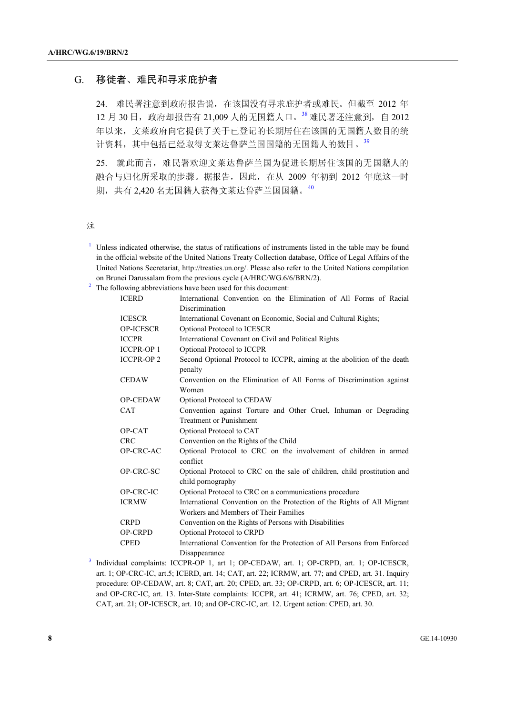### G. 移徙者、难民和寻求庇护者

24. 难民署注意到政府报告说,在该国没有寻求庇护者或难民。但截至 2012 年 12 月 30 日,政府却报告有 21,009 人的无国籍人口。<sup>38</sup>难民署还注意到,自 2012 年以来,文莱政府向它提供了关于已登记的长期居住在该国的无国籍人数目的统 计资料,其中包括已经取得文莱达鲁萨兰国国籍的无国籍人的数目。<sup>39</sup>

25. 就此而言,难民署欢迎文莱达鲁萨兰国为促进长期居住该国的无国籍人的 融合与归化所采取的步骤。据报告,因此,在从 2009 年初到 2012 年底这一时 期,共有 2,420 名无国籍人获得文莱达鲁萨兰国国籍。<sup>40</sup>

注

- <sup>1</sup> Unless indicated otherwise, the status of ratifications of instruments listed in the table may be found in the official website of the United Nations Treaty Collection database, Office of Legal Affairs of the United Nations Secretariat, http://treaties.un.org/. Please also refer to the United Nations compilation on Brunei Darussalam from the previous cycle ( $A/HRC/WG.6/6/BRN/2$ ).
- The following abbreviations have been used for this document:

| <b>ICERD</b>     | International Convention on the Elimination of All Forms of Racial                 |
|------------------|------------------------------------------------------------------------------------|
|                  | Discrimination                                                                     |
| <b>ICESCR</b>    | International Covenant on Economic, Social and Cultural Rights;                    |
| <b>OP-ICESCR</b> | Optional Protocol to ICESCR                                                        |
| <b>ICCPR</b>     | International Covenant on Civil and Political Rights                               |
| <b>ICCPR-OP1</b> | Optional Protocol to ICCPR                                                         |
| <b>ICCPR-OP2</b> | Second Optional Protocol to ICCPR, aiming at the abolition of the death<br>penalty |
| <b>CEDAW</b>     | Convention on the Elimination of All Forms of Discrimination against               |
|                  | Women                                                                              |
| <b>OP-CEDAW</b>  | Optional Protocol to CEDAW                                                         |
| <b>CAT</b>       | Convention against Torture and Other Cruel, Inhuman or Degrading                   |
|                  | <b>Treatment or Punishment</b>                                                     |
| OP-CAT           | Optional Protocol to CAT                                                           |
| <b>CRC</b>       | Convention on the Rights of the Child                                              |
| OP-CRC-AC        | Optional Protocol to CRC on the involvement of children in armed<br>conflict       |
| OP-CRC-SC        | Optional Protocol to CRC on the sale of children, child prostitution and           |
|                  | child pornography                                                                  |
| OP-CRC-IC        | Optional Protocol to CRC on a communications procedure                             |
| <b>ICRMW</b>     | International Convention on the Protection of the Rights of All Migrant            |
|                  | Workers and Members of Their Families                                              |
| <b>CRPD</b>      | Convention on the Rights of Persons with Disabilities                              |
| <b>OP-CRPD</b>   | Optional Protocol to CRPD                                                          |
| <b>CPED</b>      | International Convention for the Protection of All Persons from Enforced           |
|                  | Disappearance                                                                      |

Disappearance 3 Individual complaints: ICCPR-OP 1, art 1; OP-CEDAW, art. 1; OP-CRPD, art. 1; OP-ICESCR, art. 1; OP-CRC-IC, art.5; ICERD, art. 14; CAT, art. 22; ICRMW, art. 77; and CPED, art. 31. Inquiry procedure: OP-CEDAW, art. 8; CAT, art. 20; CPED, art. 33; OP-CRPD, art. 6; OP-ICESCR, art. 11; and OP-CRC-IC, art. 13. Inter-State complaints: ICCPR, art. 41; ICRMW, art. 76; CPED, art. 32; CAT, art. 21; OP-ICESCR, art. 10; and OP-CRC-IC, art. 12. Urgent action: CPED, art. 30.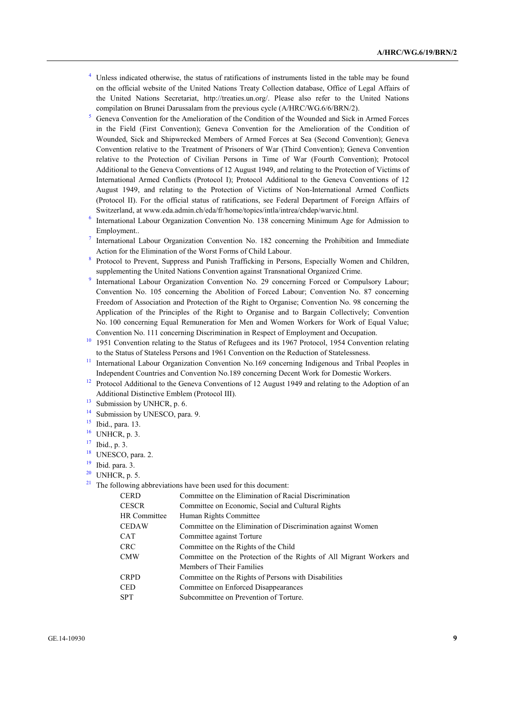- <sup>4</sup> Unless indicated otherwise, the status of ratifications of instruments listed in the table may be found on the official website of the United Nations Treaty Collection database, Office of Legal Affairs of the United Nations Secretariat, http://treaties.un.org/. Please also refer to the United Nations compilation on Brunei Darussalam from the previous cycle (A/HRC/WG.6/6/BRN/2).
- Geneva Convention for the Amelioration of the Condition of the Wounded and Sick in Armed Forces in the Field (First Convention); Geneva Convention for the Amelioration of the Condition of Wounded, Sick and Shipwrecked Members of Armed Forces at Sea (Second Convention); Geneva Convention relative to the Treatment of Prisoners of War (Third Convention); Geneva Convention relative to the Protection of Civilian Persons in Time of War (Fourth Convention); Protocol Additional to the Geneva Conventions of 12 August 1949, and relating to the Protection of Victims of International Armed Conflicts (Protocol I); Protocol Additional to the Geneva Conventions of 12 August 1949, and relating to the Protection of Victims of Non-International Armed Conflicts (Protocol II). For the official status of ratifications, see Federal Department of Foreign Affairs of Switzerland, at www.eda.admin.ch/eda/fr/home/topics/intla/intrea/chdep/warvic.html. 6
- International Labour Organization Convention No. 138 concerning Minimum Age for Admission to Employment..
- International Labour Organization Convention No. 182 concerning the Prohibition and Immediate Action for the Elimination of the Worst Forms of Child Labour.
- Protocol to Prevent, Suppress and Punish Trafficking in Persons, Especially Women and Children, supplementing the United Nations Convention against Transnational Organized Crime.
- International Labour Organization Convention No. 29 concerning Forced or Compulsory Labour; Convention No. 105 concerning the Abolition of Forced Labour; Convention No. 87 concerning Freedom of Association and Protection of the Right to Organise; Convention No. 98 concerning the Application of the Principles of the Right to Organise and to Bargain Collectively; Convention No. 100 concerning Equal Remuneration for Men and Women Workers for Work of Equal Value;
- Convention No. 111 concerning Discrimination in Respect of Employment and Occupation. 10 1951 Convention relating to the Status of Refugees and its 1967 Protocol, 1954 Convention relating to the Status of Stateless Persons and 1961 Convention on the Reduction of Statelessness.<br><sup>11</sup> International Labour Organization Convention No.169 concerning Indigenous and Tribal Peoples in
- 
- Independent Countries and Convention No.189 concerning Decent Work for Domestic Workers.<br><sup>12</sup> Protocol Additional to the Geneva Conventions of 12 August 1949 and relating to the Adoption of an Additional Distinctive Emblem (Protocol III).<br><sup>13</sup> Submission by UNHCR, p. 6.
- 
- <sup>14</sup> Submission by UNESCO, para. 9.
- $15$  Ibid., para. 13.
- $16$  UNHCR, p. 3.
- 17 Ibid., p. 3.
- <sup>18</sup> UNESCO, para. 2.
- $19$  Ibid. para. 3.
- $20$  UNHCR, p. 5.
- $21$  The following abbreviations have been used for this document:

| CERD                | Committee on the Elimination of Racial Discrimination                |
|---------------------|----------------------------------------------------------------------|
| CESCR               | Committee on Economic, Social and Cultural Rights                    |
| <b>HR Committee</b> | Human Rights Committee                                               |
| CEDAW               | Committee on the Elimination of Discrimination against Women         |
| CAT                 | Committee against Torture                                            |
| CRC                 | Committee on the Rights of the Child                                 |
| CMW                 | Committee on the Protection of the Rights of All Migrant Workers and |
|                     | Members of Their Families                                            |
| CRPD                | Committee on the Rights of Persons with Disabilities                 |
| CED                 | Committee on Enforced Disappearances                                 |
| SPT                 | Subcommittee on Prevention of Torture.                               |
|                     |                                                                      |